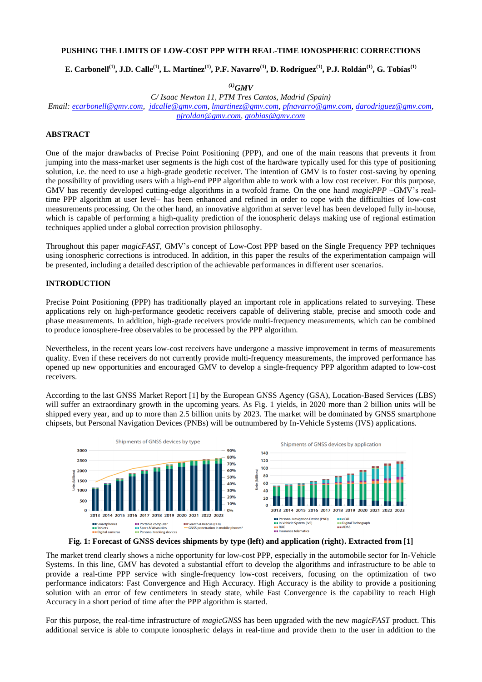# **PUSHING THE LIMITS OF LOW-COST PPP WITH REAL-TIME IONOSPHERIC CORRECTIONS**

E. Carbonell $^{(1)}$ , J.D. Calle $^{(1)}$ , L. Martínez $^{(1)}$ , P.F. Navarro $^{(1)}$ , D. Rodríguez $^{(1)}$ , P.J. Roldán $^{(1)}$ , G. Tobías $^{(1)}$ 

*(1)GMV*

*C/ Isaac Newton 11, PTM Tres Cantos, Madrid (Spain) Email: [ecarbonell@gmv.com,](mailto:ecarbonell@gmv.com) [jdcalle@gmv.com,](mailto:jdcalle@gmv.com) [lmartinez@gmv.com,](mailto:lmartinez@gmv.com) [pfnavarro@gmv.com,](mailto:pfnavarro@gmv.com) [darodriguez@gmv.com,](mailto:darodriguez@gmv.com)  [pjroldan@gmv.com,](mailto:pjroldan@gmv.com) [gtobias@gmv.com](mailto:gtobias@gmv.com)*

## **ABSTRACT**

One of the major drawbacks of Precise Point Positioning (PPP), and one of the main reasons that prevents it from jumping into the mass-market user segments is the high cost of the hardware typically used for this type of positioning solution, i.e. the need to use a high-grade geodetic receiver. The intention of GMV is to foster cost-saving by opening the possibility of providing users with a high-end PPP algorithm able to work with a low cost receiver. For this purpose, GMV has recently developed cutting-edge algorithms in a twofold frame. On the one hand *magicPPP* –GMV's realtime PPP algorithm at user level– has been enhanced and refined in order to cope with the difficulties of low-cost measurements processing. On the other hand, an innovative algorithm at server level has been developed fully in-house, which is capable of performing a high-quality prediction of the ionospheric delays making use of regional estimation techniques applied under a global correction provision philosophy.

Throughout this paper *magicFAST*, GMV's concept of Low-Cost PPP based on the Single Frequency PPP techniques using ionospheric corrections is introduced. In addition, in this paper the results of the experimentation campaign will be presented, including a detailed description of the achievable performances in different user scenarios.

#### **INTRODUCTION**

Precise Point Positioning (PPP) has traditionally played an important role in applications related to surveying. These applications rely on high-performance geodetic receivers capable of delivering stable, precise and smooth code and phase measurements. In addition, high-grade receivers provide multi-frequency measurements, which can be combined to produce ionosphere-free observables to be processed by the PPP algorithm.

Nevertheless, in the recent years low-cost receivers have undergone a massive improvement in terms of measurements quality. Even if these receivers do not currently provide multi-frequency measurements, the improved performance has opened up new opportunities and encouraged GMV to develop a single-frequency PPP algorithm adapted to low-cost receivers.

According to the last GNSS Market Report [\[1\]](#page-7-0) by the European GNSS Agency (GSA), Location-Based Services (LBS) will suffer an extraordinary growth in the upcoming years. As [Fig. 1](#page-0-0) yields, in 2020 more than 2 billion units will be shipped every year, and up to more than 2.5 billion units by 2023. The market will be dominated by GNSS smartphone chipsets, but Personal Navigation Devices (PNBs) will be outnumbered by In-Vehicle Systems (IVS) applications.



**Fig. 1: Forecast of GNSS devices shipments by type (left) and application (right). Extracted from [\[1\]](#page-7-0)**

<span id="page-0-0"></span>The market trend clearly shows a niche opportunity for low-cost PPP, especially in the automobile sector for In-Vehicle Systems. In this line, GMV has devoted a substantial effort to develop the algorithms and infrastructure to be able to provide a real-time PPP service with single-frequency low-cost receivers, focusing on the optimization of two performance indicators: Fast Convergence and High Accuracy. High Accuracy is the ability to provide a positioning solution with an error of few centimeters in steady state, while Fast Convergence is the capability to reach High Accuracy in a short period of time after the PPP algorithm is started.

For this purpose, the real-time infrastructure of *magicGNSS* has been upgraded with the new *magicFAST* product. This additional service is able to compute ionospheric delays in real-time and provide them to the user in addition to the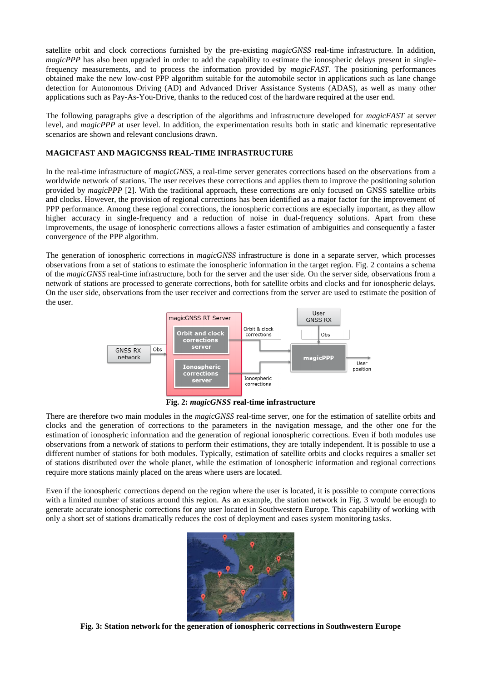satellite orbit and clock corrections furnished by the pre-existing *magicGNSS* real-time infrastructure. In addition, *magicPPP* has also been upgraded in order to add the capability to estimate the ionospheric delays present in singlefrequency measurements, and to process the information provided by *magicFAST*. The positioning performances obtained make the new low-cost PPP algorithm suitable for the automobile sector in applications such as lane change detection for Autonomous Driving (AD) and Advanced Driver Assistance Systems (ADAS), as well as many other applications such as Pay-As-You-Drive, thanks to the reduced cost of the hardware required at the user end.

The following paragraphs give a description of the algorithms and infrastructure developed for *magicFAST* at server level, and *magicPPP* at user level. In addition, the experimentation results both in static and kinematic representative scenarios are shown and relevant conclusions drawn.

## **MAGICFAST AND MAGICGNSS REAL-TIME INFRASTRUCTURE**

In the real-time infrastructure of *magicGNSS*, a real-time server generates corrections based on the observations from a worldwide network of stations. The user receives these corrections and applies them to improve the positioning solution provided by *magicPPP* [\[2\].](#page-7-1) With the traditional approach, these corrections are only focused on GNSS satellite orbits and clocks. However, the provision of regional corrections has been identified as a major factor for the improvement of PPP performance. Among these regional corrections, the ionospheric corrections are especially important, as they allow higher accuracy in single-frequency and a reduction of noise in dual-frequency solutions. Apart from these improvements, the usage of ionospheric corrections allows a faster estimation of ambiguities and consequently a faster convergence of the PPP algorithm.

The generation of ionospheric corrections in *magicGNSS* infrastructure is done in a separate server, which processes observations from a set of stations to estimate the ionospheric information in the target region. [Fig. 2](#page-1-0) contains a schema of the *magicGNSS* real-time infrastructure, both for the server and the user side. On the server side, observations from a network of stations are processed to generate corrections, both for satellite orbits and clocks and for ionospheric delays. On the user side, observations from the user receiver and corrections from the server are used to estimate the position of the user.



**Fig. 2:** *magicGNSS* **real-time infrastructure**

<span id="page-1-0"></span>There are therefore two main modules in the *magicGNSS* real-time server, one for the estimation of satellite orbits and clocks and the generation of corrections to the parameters in the navigation message, and the other one for the estimation of ionospheric information and the generation of regional ionospheric corrections. Even if both modules use observations from a network of stations to perform their estimations, they are totally independent. It is possible to use a different number of stations for both modules. Typically, estimation of satellite orbits and clocks requires a smaller set of stations distributed over the whole planet, while the estimation of ionospheric information and regional corrections require more stations mainly placed on the areas where users are located.

Even if the ionospheric corrections depend on the region where the user is located, it is possible to compute corrections with a limited number of stations around this region. As an example, the station network in [Fig. 3](#page-1-1) would be enough to generate accurate ionospheric corrections for any user located in Southwestern Europe. This capability of working with only a short set of stations dramatically reduces the cost of deployment and eases system monitoring tasks.

<span id="page-1-1"></span>

**Fig. 3: Station network for the generation of ionospheric corrections in Southwestern Europe**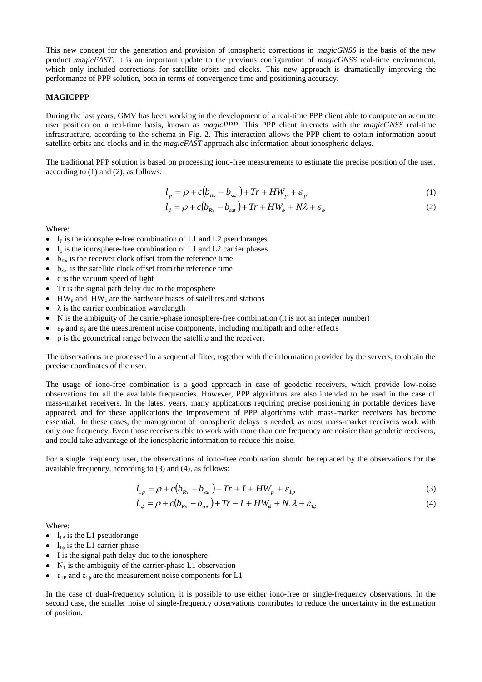This new concept for the generation and provision of ionospheric corrections in *magicGNSS* is the basis of the new product *magicFAST*. It is an important update to the previous configuration of *magicGNSS* real-time environment, which only included corrections for satellite orbits and clocks. This new approach is dramatically improving the performance of PPP solution, both in terms of convergence time and positioning accuracy.

#### **MAGICPPP**

During the last years, GMV has been working in the development of a real-time PPP client able to compute an accurate user position on a real-time basis, known as *magicPPP*. This PPP client interacts with the *magicGNSS* real-time infrastructure, according to the schema in [Fig. 2.](#page-1-0) This interaction allows the PPP client to obtain information about satellite orbits and clocks and in the *magicFAST* approach also information about ionospheric delays.

The traditional PPP solution is based on processing iono-free measurements to estimate the precise position of the user, according to (1) and (2), as follows:

$$
l_p = \rho + c(b_{Rx} - b_{sat}) + Tr + HW_p + \varepsilon_p
$$
\n(1)

$$
l_{\phi} = \rho + c(b_{Rx} - b_{sat}) + Tr + HW_{\phi} + N\lambda + \varepsilon_{\phi}
$$
 (2)

Where:

- $l<sub>P</sub>$  is the ionosphere-free combination of L1 and L2 pseudoranges
- $l_{\phi}$  is the ionosphere-free combination of L1 and L2 carrier phases
- $b_{Rx}$  is the receiver clock offset from the reference time
- $b_{\text{Sat}}$  is the satellite clock offset from the reference time
- c is the vacuum speed of light
- Tr is the signal path delay due to the troposphere
- $\bullet$  HW<sub>p</sub> and HW<sub>p</sub> are the hardware biases of satellites and stations
- $\lambda$  is the carrier combination wavelength
- N is the ambiguity of the carrier-phase ionosphere-free combination (it is not an integer number)
- $\epsilon_{\rm p}$  and  $\epsilon_{\rm \phi}$  are the measurement noise components, including multipath and other effects
- ρ is the geometrical range between the satellite and the receiver.

The observations are processed in a sequential filter, together with the information provided by the servers, to obtain the precise coordinates of the user.

The usage of iono-free combination is a good approach in case of geodetic receivers, which provide low-noise observations for all the available frequencies. However, PPP algorithms are also intended to be used in the case of mass-market receivers. In the latest years, many applications requiring precise positioning in portable devices have appeared, and for these applications the improvement of PPP algorithms with mass-market receivers has become essential. In these cases, the management of ionospheric delays is needed, as most mass-market receivers work with only one frequency. Even those receivers able to work with more than one frequency are noisier than geodetic receivers, and could take advantage of the ionospheric information to reduce this noise.

For a single frequency user, the observations of iono-free combination should be replaced by the observations for the available frequency, according to (3) and (4), as follows:

$$
l_{1p} = \rho + c(b_{Rx} - b_{sat}) + Tr + I + HW_p + \varepsilon_{1p}
$$
\n(3)

$$
l_{1\phi} = \rho + c(b_{Rx} - b_{sat}) + Tr - I + HW_{\phi} + N_1\lambda + \varepsilon_{1\phi}
$$
\n<sup>(4)</sup>

Where:

- $\bullet$  1<sub>1P</sub> is the L1 pseudorange
- $\bullet$   $l_{1\phi}$  is the L1 carrier phase
- I is the signal path delay due to the ionosphere
- $\bullet$  N<sub>1</sub> is the ambiguity of the carrier-phase L1 observation
- $\varepsilon_{1P}$  and  $\varepsilon_{1\phi}$  are the measurement noise components for L1

In the case of dual-frequency solution, it is possible to use either iono-free or single-frequency observations. In the second case, the smaller noise of single-frequency observations contributes to reduce the uncertainty in the estimation of position.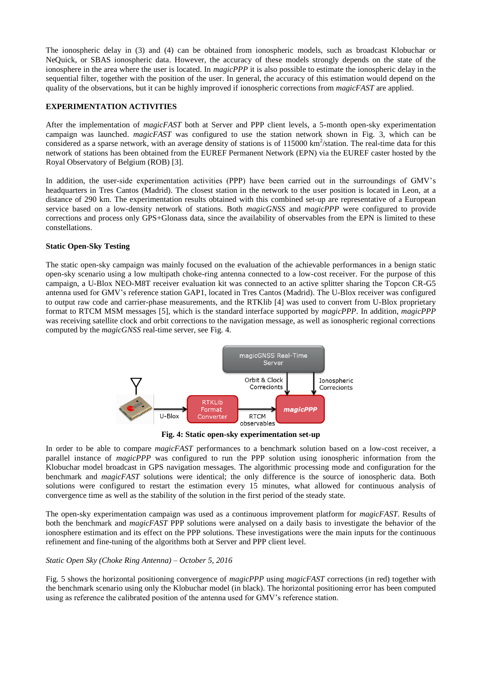The ionospheric delay in (3) and (4) can be obtained from ionospheric models, such as broadcast Klobuchar or NeQuick, or SBAS ionospheric data. However, the accuracy of these models strongly depends on the state of the ionosphere in the area where the user is located. In *magicPPP* it is also possible to estimate the ionospheric delay in the sequential filter, together with the position of the user. In general, the accuracy of this estimation would depend on the quality of the observations, but it can be highly improved if ionospheric corrections from *magicFAST* are applied.

## **EXPERIMENTATION ACTIVITIES**

After the implementation of *magicFAST* both at Server and PPP client levels, a 5-month open-sky experimentation campaign was launched. *magicFAST* was configured to use the station network shown in [Fig. 3,](#page-1-1) which can be considered as a sparse network, with an average density of stations is of  $115000 \text{ km}^2/\text{station}$ . The real-time data for this network of stations has been obtained from the EUREF Permanent Network (EPN) via the EUREF caster hosted by the Royal Observatory of Belgium (ROB) [\[3\].](#page-7-2)

In addition, the user-side experimentation activities (PPP) have been carried out in the surroundings of GMV's headquarters in Tres Cantos (Madrid). The closest station in the network to the user position is located in Leon, at a distance of 290 km. The experimentation results obtained with this combined set-up are representative of a European service based on a low-density network of stations. Both *magicGNSS* and *magicPPP* were configured to provide corrections and process only GPS+Glonass data, since the availability of observables from the EPN is limited to these constellations.

## **Static Open-Sky Testing**

The static open-sky campaign was mainly focused on the evaluation of the achievable performances in a benign static open-sky scenario using a low multipath choke-ring antenna connected to a low-cost receiver. For the purpose of this campaign, a U-Blox NEO-M8T receiver evaluation kit was connected to an active splitter sharing the Topcon CR-G5 antenna used for GMV's reference station GAP1, located in Tres Cantos (Madrid). The U-Blox receiver was configured to output raw code and carrier-phase measurements, and the RTKlib [\[4\]](#page-7-3) was used to convert from U-Blox proprietary format to RTCM MSM messages [\[5\],](#page-7-4) which is the standard interface supported by *magicPPP*. In addition, *magicPPP* was receiving satellite clock and orbit corrections to the navigation message, as well as ionospheric regional corrections computed by the *magicGNSS* real-time server, see [Fig. 4.](#page-3-0)



**Fig. 4: Static open-sky experimentation set-up**

<span id="page-3-0"></span>In order to be able to compare *magicFAST* performances to a benchmark solution based on a low-cost receiver, a parallel instance of *magicPPP* was configured to run the PPP solution using ionospheric information from the Klobuchar model broadcast in GPS navigation messages. The algorithmic processing mode and configuration for the benchmark and *magicFAST* solutions were identical; the only difference is the source of ionospheric data. Both solutions were configured to restart the estimation every 15 minutes, what allowed for continuous analysis of convergence time as well as the stability of the solution in the first period of the steady state.

The open-sky experimentation campaign was used as a continuous improvement platform for *magicFAST*. Results of both the benchmark and *magicFAST* PPP solutions were analysed on a daily basis to investigate the behavior of the ionosphere estimation and its effect on the PPP solutions. These investigations were the main inputs for the continuous refinement and fine-tuning of the algorithms both at Server and PPP client level.

## *Static Open Sky (Choke Ring Antenna) – October 5, 2016*

[Fig. 5](#page-4-0) shows the horizontal positioning convergence of *magicPPP* using *magicFAST* corrections (in red) together with the benchmark scenario using only the Klobuchar model (in black). The horizontal positioning error has been computed using as reference the calibrated position of the antenna used for GMV's reference station.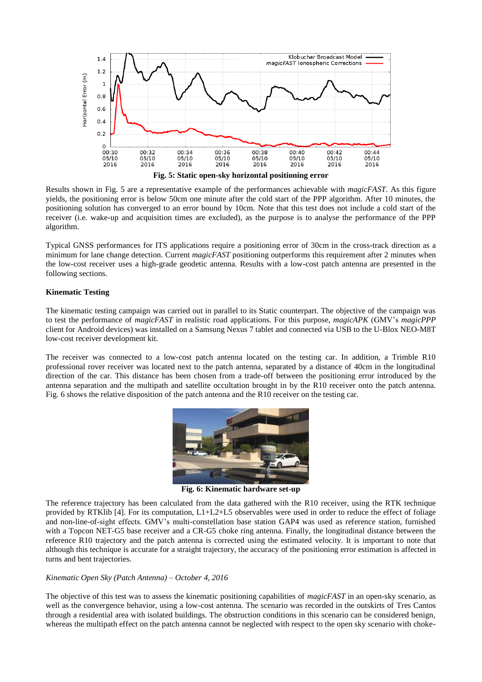

<span id="page-4-0"></span>Results shown in [Fig. 5](#page-4-0) are a representative example of the performances achievable with *magicFAST*. As this figure yields, the positioning error is below 50cm one minute after the cold start of the PPP algorithm. After 10 minutes, the positioning solution has converged to an error bound by 10cm. Note that this test does not include a cold start of the receiver (i.e. wake-up and acquisition times are excluded), as the purpose is to analyse the performance of the PPP algorithm.

Typical GNSS performances for ITS applications require a positioning error of 30cm in the cross-track direction as a minimum for lane change detection. Current *magicFAST* positioning outperforms this requirement after 2 minutes when the low-cost receiver uses a high-grade geodetic antenna. Results with a low-cost patch antenna are presented in the following sections.

## **Kinematic Testing**

The kinematic testing campaign was carried out in parallel to its Static counterpart. The objective of the campaign was to test the performance of *magicFAST* in realistic road applications. For this purpose, *magicAPK* (GMV's *magicPPP* client for Android devices) was installed on a Samsung Nexus 7 tablet and connected via USB to the U-Blox NEO-M8T low-cost receiver development kit.

The receiver was connected to a low-cost patch antenna located on the testing car. In addition, a Trimble R10 professional rover receiver was located next to the patch antenna, separated by a distance of 40cm in the longitudinal direction of the car. This distance has been chosen from a trade-off between the positioning error introduced by the antenna separation and the multipath and satellite occultation brought in by the R10 receiver onto the patch antenna. [Fig. 6](#page-4-1) shows the relative disposition of the patch antenna and the R10 receiver on the testing car.



**Fig. 6: Kinematic hardware set-up**

<span id="page-4-1"></span>The reference trajectory has been calculated from the data gathered with the R10 receiver, using the RTK technique provided by RTKlib [\[4\].](#page-7-3) For its computation, L1+L2+L5 observables were used in order to reduce the effect of foliage and non-line-of-sight effects. GMV's multi-constellation base station GAP4 was used as reference station, furnished with a Topcon NET-G5 base receiver and a CR-G5 choke ring antenna. Finally, the longitudinal distance between the reference R10 trajectory and the patch antenna is corrected using the estimated velocity. It is important to note that although this technique is accurate for a straight trajectory, the accuracy of the positioning error estimation is affected in turns and bent trajectories.

## *Kinematic Open Sky (Patch Antenna) – October 4, 2016*

The objective of this test was to assess the kinematic positioning capabilities of *magicFAST* in an open-sky scenario, as well as the convergence behavior, using a low-cost antenna. The scenario was recorded in the outskirts of Tres Cantos through a residential area with isolated buildings. The obstruction conditions in this scenario can be considered benign, whereas the multipath effect on the patch antenna cannot be neglected with respect to the open sky scenario with choke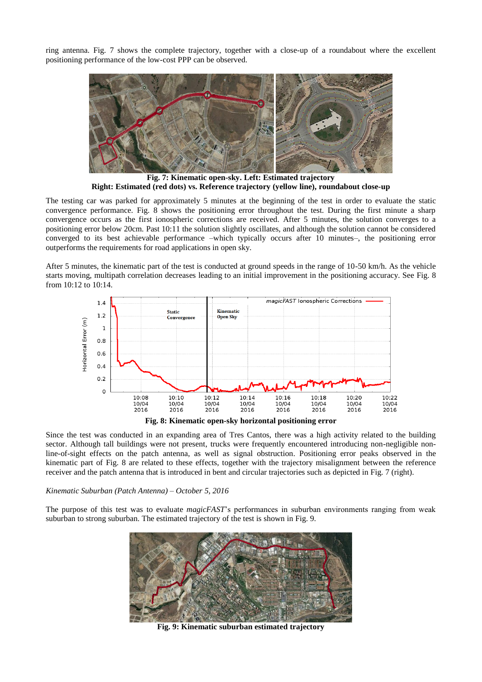ring antenna. [Fig. 7](#page-5-0) shows the complete trajectory, together with a close-up of a roundabout where the excellent positioning performance of the low-cost PPP can be observed.



**Fig. 7: Kinematic open-sky. Left: Estimated trajectory Right: Estimated (red dots) vs. Reference trajectory (yellow line), roundabout close-up**

<span id="page-5-0"></span>The testing car was parked for approximately 5 minutes at the beginning of the test in order to evaluate the static convergence performance. [Fig. 8](#page-5-1) shows the positioning error throughout the test. During the first minute a sharp convergence occurs as the first ionospheric corrections are received. After 5 minutes, the solution converges to a positioning error below 20cm. Past 10:11 the solution slightly oscillates, and although the solution cannot be considered converged to its best achievable performance –which typically occurs after 10 minutes–, the positioning error outperforms the requirements for road applications in open sky.

After 5 minutes, the kinematic part of the test is conducted at ground speeds in the range of 10-50 km/h. As the vehicle starts moving, multipath correlation decreases leading to an initial improvement in the positioning accuracy. See [Fig. 8](#page-5-1) from 10:12 to 10:14.



**Fig. 8: Kinematic open-sky horizontal positioning error**

<span id="page-5-1"></span>Since the test was conducted in an expanding area of Tres Cantos, there was a high activity related to the building sector. Although tall buildings were not present, trucks were frequently encountered introducing non-negligible nonline-of-sight effects on the patch antenna, as well as signal obstruction. Positioning error peaks observed in the kinematic part of [Fig. 8](#page-5-1) are related to these effects, together with the trajectory misalignment between the reference receiver and the patch antenna that is introduced in bent and circular trajectories such as depicted in [Fig. 7](#page-5-0) (right).

## *Kinematic Suburban (Patch Antenna) – October 5, 2016*

<span id="page-5-2"></span>The purpose of this test was to evaluate *magicFAST*'s performances in suburban environments ranging from weak suburban to strong suburban. The estimated trajectory of the test is shown in [Fig. 9.](#page-5-2)



**Fig. 9: Kinematic suburban estimated trajectory**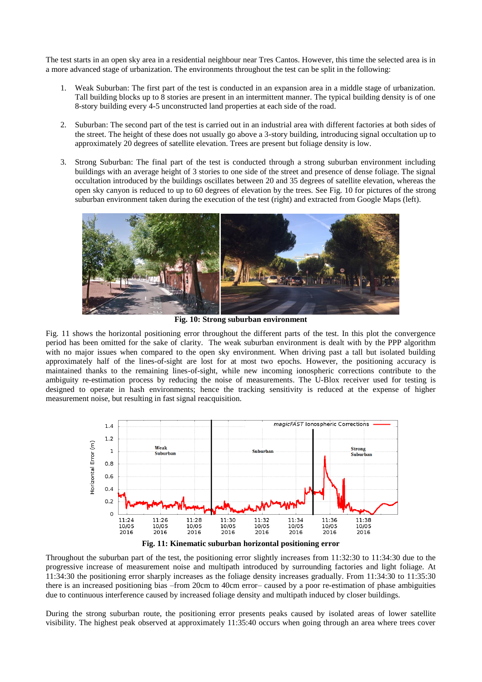The test starts in an open sky area in a residential neighbour near Tres Cantos. However, this time the selected area is in a more advanced stage of urbanization. The environments throughout the test can be split in the following:

- 1. Weak Suburban: The first part of the test is conducted in an expansion area in a middle stage of urbanization. Tall building blocks up to 8 stories are present in an intermittent manner. The typical building density is of one 8-story building every 4-5 unconstructed land properties at each side of the road.
- 2. Suburban: The second part of the test is carried out in an industrial area with different factories at both sides of the street. The height of these does not usually go above a 3-story building, introducing signal occultation up to approximately 20 degrees of satellite elevation. Trees are present but foliage density is low.
- 3. Strong Suburban: The final part of the test is conducted through a strong suburban environment including buildings with an average height of 3 stories to one side of the street and presence of dense foliage. The signal occultation introduced by the buildings oscillates between 20 and 35 degrees of satellite elevation, whereas the open sky canyon is reduced to up to 60 degrees of elevation by the trees. See [Fig. 10](#page-6-0) for pictures of the strong suburban environment taken during the execution of the test (right) and extracted from Google Maps (left).



**Fig. 10: Strong suburban environment**

<span id="page-6-0"></span>[Fig. 11](#page-6-1) shows the horizontal positioning error throughout the different parts of the test. In this plot the convergence period has been omitted for the sake of clarity. The weak suburban environment is dealt with by the PPP algorithm with no major issues when compared to the open sky environment. When driving past a tall but isolated building approximately half of the lines-of-sight are lost for at most two epochs. However, the positioning accuracy is maintained thanks to the remaining lines-of-sight, while new incoming ionospheric corrections contribute to the ambiguity re-estimation process by reducing the noise of measurements. The U-Blox receiver used for testing is designed to operate in hash environments; hence the tracking sensitivity is reduced at the expense of higher measurement noise, but resulting in fast signal reacquisition.





<span id="page-6-1"></span>Throughout the suburban part of the test, the positioning error slightly increases from 11:32:30 to 11:34:30 due to the progressive increase of measurement noise and multipath introduced by surrounding factories and light foliage. At 11:34:30 the positioning error sharply increases as the foliage density increases gradually. From 11:34:30 to 11:35:30 there is an increased positioning bias –from 20cm to 40cm error– caused by a poor re-estimation of phase ambiguities due to continuous interference caused by increased foliage density and multipath induced by closer buildings.

During the strong suburban route, the positioning error presents peaks caused by isolated areas of lower satellite visibility. The highest peak observed at approximately 11:35:40 occurs when going through an area where trees cover